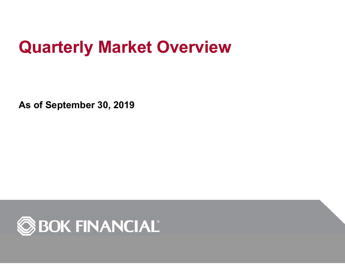# **Quarterly Market Overview**

**As of September 30, 2019**

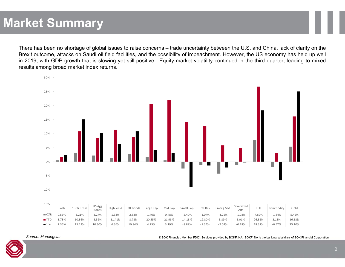## **Market Summary**

There has been no shortage of global issues to raise concerns – trade uncertainty between the U.S. and China, lack of clarity on the Brexit outcome, attacks on Saudi oil field facilities, and the possibility of impeachment. However, the US economy has held up well in 2019, with GDP growth that is slowing yet still positive. Equity market volatility continued in the third quarter, leading to mixed results among broad market index returns.



*Source: Morningstar*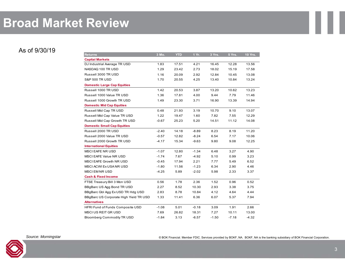### **Broad Market Review**

### As of 9/30/19

| <b>Returns</b>                         | 3 Mo.   | <b>YTD</b> | 1 Yr.   | 3 Yrs.  | 5 Yrs.  | <b>10 Yrs.</b> |
|----------------------------------------|---------|------------|---------|---------|---------|----------------|
| <b>Capital Markets</b>                 |         |            |         |         |         |                |
| DJ Industrial Average TR USD           | 1.83    | 17.51      | 4.21    | 16.45   | 12.28   | 13.56          |
| NASDAQ 100 TR USD                      | 1.29    | 23.42      | 2.73    | 18.02   | 15.19   | 17.58          |
| Russell 3000 TR USD                    | 1.16    | 20.09      | 2.92    | 12.84   | 10.45   | 13.08          |
| <b>S&amp;P 500 TR USD</b>              | 1.70    | 20.55      | 4.25    | 13.40   | 10.84   | 13.24          |
| <b>Domestic Large Cap Equities</b>     |         |            |         |         |         |                |
| Russell 1000 TR USD                    | 1.42    | 20.53      | 3.87    | 13.20   | 10.62   | 13.23          |
| Russell 1000 Value TR USD              | 1.36    | 17.81      | 4.00    | 9.44    | 7.79    | 11.46          |
| Russell 1000 Growth TR USD             | 1.49    | 23.30      | 3.71    | 16.90   | 13.39   | 14.94          |
| <b>Domestic Mid Cap Equities</b>       |         |            |         |         |         |                |
| Russell Mid Cap TR USD                 | 0.48    | 21.93      | 3.19    | 10.70   | 9.10    | 13.07          |
| Russell Mid Cap Value TR USD           | 1.22    | 19.47      | 1.60    | 7.82    | 7.55    | 12.29          |
| Russell Mid Cap Growth TR USD          | $-0.67$ | 25.23      | 5.20    | 14.51   | 11.12   | 14.08          |
| <b>Domestic Small Cap Equities</b>     |         |            |         |         |         |                |
| Russell 2000 TR USD                    | $-2.40$ | 14.18      | $-8.89$ | 8.23    | 8.19    | 11.20          |
| Russell 2000 Value TR USD              | $-0.57$ | 12.82      | $-8.24$ | 6.54    | 7.17    | 10.06          |
| Russell 2000 Growth TR USD             | $-4.17$ | 15.34      | $-9.63$ | 9.80    | 9.08    | 12.25          |
| <b>International Equities</b>          |         |            |         |         |         |                |
| MSCI EAFE NR USD                       | $-1.07$ | 12.80      | $-1.34$ | 6.48    | 3.27    | 4.90           |
| <b>MSCI EAFE Value NR USD</b>          | $-1.74$ | 7.67       | $-4.92$ | 5.10    | 0.99    | 3.23           |
| MSCI EAFE Growth NR USD                | $-0.45$ | 17.94      | 2.21    | 7.77    | 5.49    | 6.52           |
| MSCI ACWI Ex USA NR USD                | $-1.80$ | 11.56      | $-1.23$ | 6.34    | 2.90    | 4.46           |
| <b>MSCI EM NR USD</b>                  | $-4.25$ | 5.89       | $-2.02$ | 5.98    | 2.33    | 3.37           |
| <b>Cash &amp; Fixed Income</b>         |         |            |         |         |         |                |
| FTSE Treasury Bill 3 Mon USD           | 0.56    | 1.78       | 2.36    | 1.52    | 0.96    | 0.52           |
| BBgBarc US Agg Bond TR USD             | 2.27    | 8.52       | 10.30   | 2.93    | 3.38    | 3.75           |
| BBgBarc Gbl Agg Ex USD TR Hdg USD      | 2.83    | 8.78       | 10.84   | 4.12    | 4.64    | 4.44           |
| BBgBarc US Corporate High Yield TR USD | 1.33    | 11.41      | 6.36    | 6.07    | 5.37    | 7.94           |
| <b>Alternatives</b>                    |         |            |         |         |         |                |
| HFRI Fund of Funds Composite USD       | $-1.08$ | 5.01       | $-0.18$ | 3.09    | 1.91    | 2.66           |
| <b>MSCIUS REIT GRUSD</b>               | 7.69    | 26.82      | 18.31   | 7.27    | 10.11   | 13.00          |
| <b>Bloomberg Commodity TR USD</b>      | $-1.84$ | 3.13       | $-6.57$ | $-1.50$ | $-7.18$ | $-4.32$        |

*Source: Morningstar*

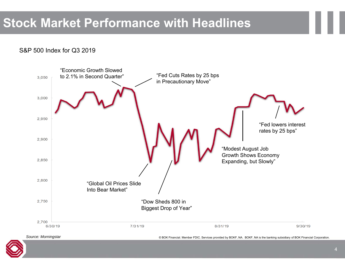### **Stock Market Performance with Headlines**

### S&P 500 Index for Q3 2019

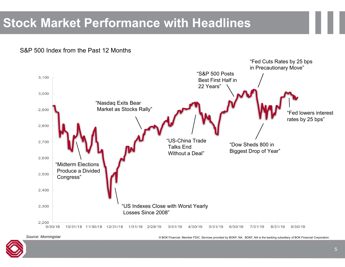## **Stock Market Performance with Headlines**

S&P 500 Index from the Past 12 Months



*Source: Morningstar*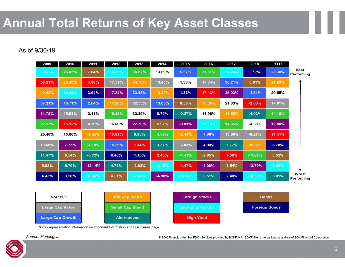## **Annual Total Returns of Key Asset Classes**

### As of 9/30/19

| 2009                   | 2010                    | 2011                   | 2012   | 2013                | 2014                    | 2015      | 2016              | 2017                 | 2018      | <b>YTD</b> |                           |
|------------------------|-------------------------|------------------------|--------|---------------------|-------------------------|-----------|-------------------|----------------------|-----------|------------|---------------------------|
| 78.51%                 | 26.85%                  | 7.84%                  | 18.22% | 38.82%              | 13.69%                  | 5.67%     | 21.31%            | 37.28%               | 3.17%     | 23.30%     | <b>Best</b><br>Performing |
| 58.21%                 | 25.48%                  | 4.98%                  | 17.51% | 34.76%              | 13.45%                  | 1.38%     | 17.34%            | 30.21%               | 0.01%     | 21.93%     |                           |
| 40.48%                 | 18.88%                  | 3.94%                  | 17.32% | 33.48%              | 13.22%                  | 1.36%     | 17.13%            | 25.03%               | $-1.51%$  | 20.55%     |                           |
| 37.21%                 | 16.71%                  | 2.64%                  | 17.28% | 32.53%              | 13.05%                  | 0.55%     | 13.80%            | 21.83%               | $-2.08%$  | 17.81%     |                           |
| 31.78%                 | 15.51%                  | 2.11%                  | 16.35% | 32.39%              | 8.79%                   | $-0.27%$  | 11.96%            | 18.52%               | $-4.02%$  | 14.18%     |                           |
| 27.17%                 | 15.12%                  | 0.39%                  | 16.00% | 22.78%              | 5.97%                   | $-0.81%$  | 11.19%            | 14.65%               | $-4.38%$  | 12.80%     |                           |
| 26.46%                 | 15.06%                  | $-1.55%$               | 15.81% | 8.96%               | 4.89%                   | $-2.44%$  | 7.08%             | 13.66%               | $-8.27%$  | 11.41%     |                           |
| 19.69%                 | 7.75%                   | $-4.18%$               | 15.26% | 7.44%               | 3.37%                   | $-3.83%$  | 4.90%             | 7.77%                | $-9.06%$  | 8.78%      |                           |
| 11.47%                 | 6.54%                   | $-5.72%$               | 6.46%  | 1.18%               | 2.45%                   | $-4.41%$  | 2.65%             | 7.50%                | $-11.01%$ | 8.52%      |                           |
| 5.93%                  | 5.70%                   | $-12.14%$              | 4.79%  | $-2.02%$            | $-2.19%$                | $-4.47%$  | 1.00%             | 3.54%                | $-13.79%$ | 5.89%      |                           |
| 4.43%                  | 3.28%                   | $-18.42%$              | 4.21%  | $-2.60%$            | $-4.90%$                | $-14.92%$ | 0.51%             | 2.48%                | $-14.57%$ | 5.01%      | Worst<br>Performing       |
|                        |                         |                        |        |                     |                         |           |                   |                      |           |            |                           |
| <b>S&amp;P 500</b>     |                         | <b>Mid Cap Blend</b>   |        |                     | <b>Foreign Stocks</b>   |           |                   | <b>Bonds</b>         |           |            |                           |
| <b>Large Cap Value</b> |                         | <b>Small Cap Blend</b> |        |                     | <b>Emerging Markets</b> |           |                   | <b>Foreign Bonds</b> |           |            |                           |
|                        | <b>Large Cap Growth</b> |                        |        | <b>Alternatives</b> |                         |           | <b>High Yield</b> |                      |           |            |                           |

\*Index representation information on Important Information and Disclosures page.

*Source: Morningstar*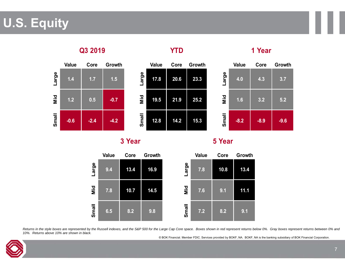## **U.S. Equity**

#### **Value Core Growth Large 1.4 1.7 1.5 Mid1.2 0.5 -0.7 Small -0.6 -2.4 -4.2 Q3 2019 Value Core Growth Large 17.8 20.6 23.3 Mid19.5 21.9 25.2 Small 12.8 14.2 15.3 YTDValue Core Growth Large 4.0 4.3 3.7 Mid1.6 3.2 5.2 Small -8.2 -8.9 -9.6 1 Year**

**3 Year 5 Year**



Returns in the style boxes are represented by the Russell indexes, and the S&P 500 for the Large Cap Core space. Boxes shown in red represent returns below 0%. Gray boxes represent returns between 0% and *10%. Returns above 10% are shown in black.*

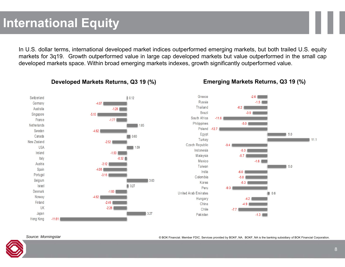In U.S. dollar terms, international developed market indices outperformed emerging markets, but both trailed U.S. equity markets for 3q19. Growth outperformed value in large cap developed markets but value outperformed in the small cap developed markets space. Within broad emerging markets indexes, growth significantly outperformed value.



#### **Developed Markets Returns, Q3 19 (%) Emerging Markets Returns, Q3 19 (%)**

*Source: Morningstar*

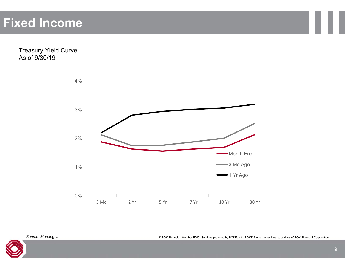### **Fixed Income**

Treasury Yield Curve As of 9/30/19





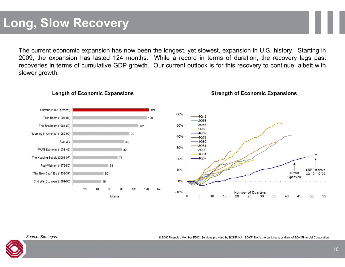The current economic expansion has now been the longest, yet slowest, expansion in U.S. history. Starting in 2009, the expansion has lasted 124 months. While <sup>a</sup> record in terms of duration, the recovery lags past recoveries in terms of cumulative GDP growth. Our current outlook is for this recovery to continue, albeit with slower growth.



**Length of Economic Expansions Strength of Economic Expansions**

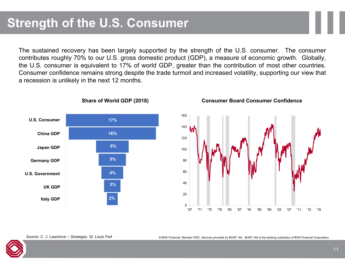The sustained recovery has been largely supported by the strength of the U.S. consumer. The consumer contributes roughly 70% to our U.S. gross domestic product (GDP), <sup>a</sup> measure of economic growth. Globally, the U.S. consumer is equivalent to 17% of world GDP, greater than the contribution of most other countries. Consumer confidence remains strong despite the trade turmoil and increased volatility, supporting our view that <sup>a</sup> recession is unlikely in the next 12 months.









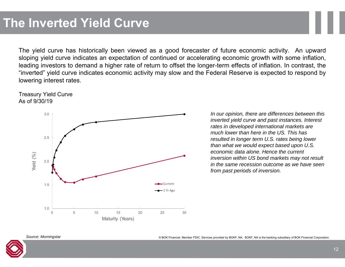The yield curve has historically been viewed as <sup>a</sup> good forecaster of future economic activity. An upward sloping yield curve indicates an expectation of continued or accelerating economic growth with some inflation, leading investors to demand <sup>a</sup> higher rate of return to offset the longer-term effects of inflation. In contrast, the "inverted" yield curve indicates economic activity may slow and the Federal Reserve is expected to respond by lowering interest rates.





*In our opinion, there are differences between this inverted yield curve and past instances. Interest rates in developed international markets are much lower than here in the US. This has resulted in longer term U.S. rates being lower than what we would expect based upon U.S. economic data alone. Hence the current inversion within US bond markets may not result in the same recession outcome as we have seen from past periods of inversion.*



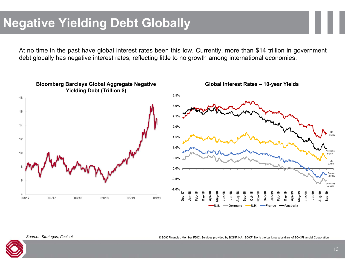## **Negative Yielding Debt Globally**

At no time in the past have global interest rates been this low. Currently, more than \$14 trillion in government debt globally has negative interest rates, reflecting little to no growth among international economies.





*Source: Strategas, Factset*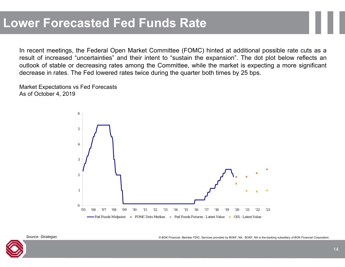In recent meetings, the Federal Open Market Committee (FOMC) hinted at additional possible rate cuts as <sup>a</sup> result of increased "uncertainties" and their intent to "sustain the expansion". The dot plot below reflects an outlook of stable or decreasing rates among the Committee, while the market is expecting <sup>a</sup> more significant decrease in rates. The Fed lowered rates twice during the quarter both times by 25 bps.

Market Expectations vs Fed Forecasts As of October 4, 2019